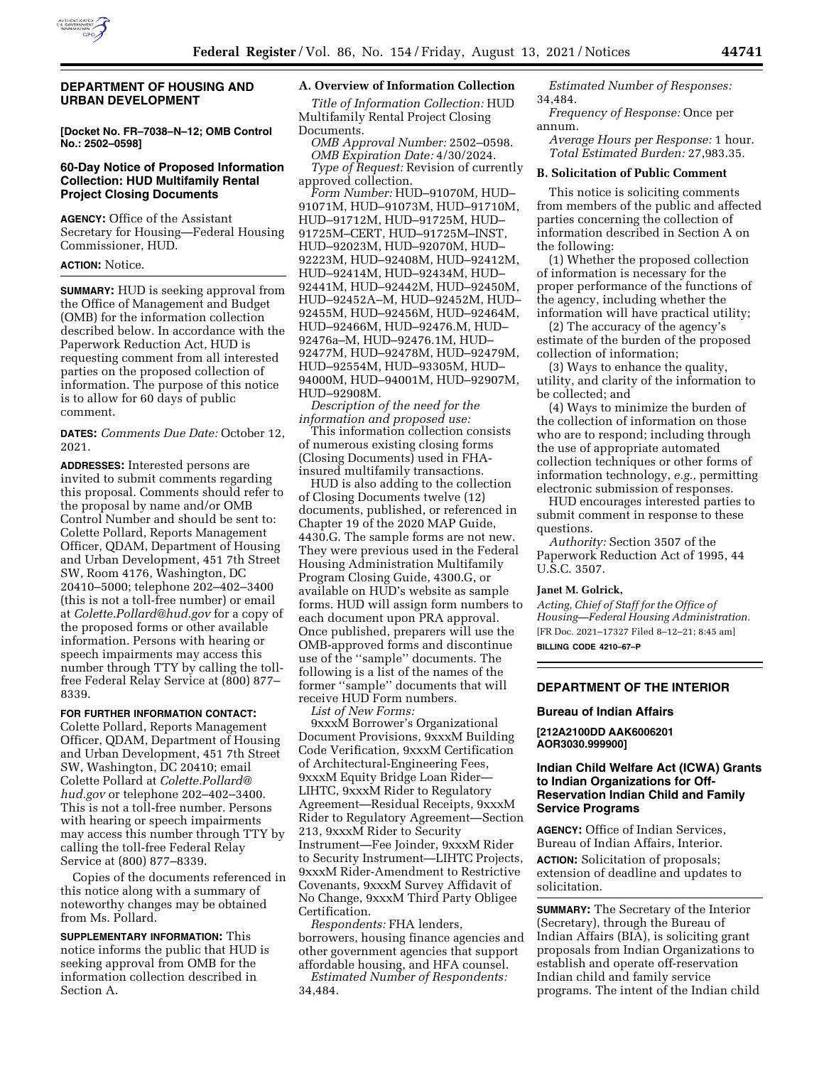

### **DEPARTMENT OF HOUSING AND URBAN DEVELOPMENT**

**[Docket No. FR–7038–N–12; OMB Control No.: 2502–0598]** 

## **60-Day Notice of Proposed Information Collection: HUD Multifamily Rental Project Closing Documents**

**AGENCY:** Office of the Assistant Secretary for Housing—Federal Housing Commissioner, HUD.

# **ACTION:** Notice.

**SUMMARY:** HUD is seeking approval from the Office of Management and Budget (OMB) for the information collection described below. In accordance with the Paperwork Reduction Act, HUD is requesting comment from all interested parties on the proposed collection of information. The purpose of this notice is to allow for 60 days of public comment.

**DATES:** *Comments Due Date:* October 12, 2021.

**ADDRESSES:** Interested persons are invited to submit comments regarding this proposal. Comments should refer to the proposal by name and/or OMB Control Number and should be sent to: Colette Pollard, Reports Management Officer, QDAM, Department of Housing and Urban Development, 451 7th Street SW, Room 4176, Washington, DC 20410–5000; telephone 202–402–3400 (this is not a toll-free number) or email at *[Colette.Pollard@hud.gov](mailto:Colette.Pollard@hud.gov)* for a copy of the proposed forms or other available information. Persons with hearing or speech impairments may access this number through TTY by calling the tollfree Federal Relay Service at (800) 877– 8339.

#### **FOR FURTHER INFORMATION CONTACT:**

Colette Pollard, Reports Management Officer, QDAM, Department of Housing and Urban Development, 451 7th Street SW, Washington, DC 20410; email Colette Pollard at *[Colette.Pollard@](mailto:Colette.Pollard@hud.gov) [hud.gov](mailto:Colette.Pollard@hud.gov)* or telephone 202–402–3400. This is not a toll-free number. Persons with hearing or speech impairments may access this number through TTY by calling the toll-free Federal Relay Service at (800) 877–8339.

Copies of the documents referenced in this notice along with a summary of noteworthy changes may be obtained from Ms. Pollard.

**SUPPLEMENTARY INFORMATION:** This notice informs the public that HUD is seeking approval from OMB for the information collection described in Section A.

#### **A. Overview of Information Collection**

*Title of Information Collection:* HUD Multifamily Rental Project Closing Documents.

*OMB Approval Number:* 2502–0598. *OMB Expiration Date:* 4/30/2024. *Type of Request:* Revision of currently approved collection.

*Form Number:* HUD–91070M, HUD– 91071M, HUD–91073M, HUD–91710M, HUD–91712M, HUD–91725M, HUD– 91725M–CERT, HUD–91725M–INST, HUD–92023M, HUD–92070M, HUD– 92223M, HUD–92408M, HUD–92412M, HUD–92414M, HUD–92434M, HUD– 92441M, HUD–92442M, HUD–92450M, HUD–92452A–M, HUD–92452M, HUD– 92455M, HUD–92456M, HUD–92464M, HUD–92466M, HUD–92476.M, HUD– 92476a–M, HUD–92476.1M, HUD– 92477M, HUD–92478M, HUD–92479M, HUD–92554M, HUD–93305M, HUD– 94000M, HUD–94001M, HUD–92907M, HUD–92908M.

*Description of the need for the information and proposed use:* 

This information collection consists of numerous existing closing forms (Closing Documents) used in FHAinsured multifamily transactions.

HUD is also adding to the collection of Closing Documents twelve (12) documents, published, or referenced in Chapter 19 of the 2020 MAP Guide, 4430.G. The sample forms are not new. They were previous used in the Federal Housing Administration Multifamily Program Closing Guide, 4300.G, or available on HUD's website as sample forms. HUD will assign form numbers to each document upon PRA approval. Once published, preparers will use the OMB-approved forms and discontinue use of the ''sample'' documents. The following is a list of the names of the former ''sample'' documents that will receive HUD Form numbers. *List of New Forms:* 

9xxxM Borrower's Organizational Document Provisions, 9xxxM Building Code Verification, 9xxxM Certification of Architectural-Engineering Fees, 9xxxM Equity Bridge Loan Rider— LIHTC, 9xxxM Rider to Regulatory Agreement—Residual Receipts, 9xxxM Rider to Regulatory Agreement—Section 213, 9xxxM Rider to Security Instrument—Fee Joinder, 9xxxM Rider to Security Instrument—LIHTC Projects, 9xxxM Rider-Amendment to Restrictive Covenants, 9xxxM Survey Affidavit of No Change, 9xxxM Third Party Obligee Certification.

*Respondents:* FHA lenders, borrowers, housing finance agencies and other government agencies that support affordable housing, and HFA counsel.

*Estimated Number of Respondents:*  34,484.

*Estimated Number of Responses:*  34,484.

*Frequency of Response:* Once per annum.

*Average Hours per Response:* 1 hour. *Total Estimated Burden:* 27,983.35.

#### **B. Solicitation of Public Comment**

This notice is soliciting comments from members of the public and affected parties concerning the collection of information described in Section A on the following:

(1) Whether the proposed collection of information is necessary for the proper performance of the functions of the agency, including whether the information will have practical utility;

(2) The accuracy of the agency's estimate of the burden of the proposed collection of information;

(3) Ways to enhance the quality, utility, and clarity of the information to be collected; and

(4) Ways to minimize the burden of the collection of information on those who are to respond; including through the use of appropriate automated collection techniques or other forms of information technology, *e.g.,* permitting electronic submission of responses.

HUD encourages interested parties to submit comment in response to these questions.

*Authority:* Section 3507 of the Paperwork Reduction Act of 1995, 44 U.S.C. 3507.

#### **Janet M. Golrick,**

*Acting, Chief of Staff for the Office of Housing—Federal Housing Administration.*  [FR Doc. 2021–17327 Filed 8–12–21; 8:45 am] **BILLING CODE 4210–67–P** 

## **DEPARTMENT OF THE INTERIOR**

### **Bureau of Indian Affairs**

**[212A2100DD AAK6006201 AOR3030.999900]** 

### **Indian Child Welfare Act (ICWA) Grants to Indian Organizations for Off-Reservation Indian Child and Family Service Programs**

**AGENCY:** Office of Indian Services, Bureau of Indian Affairs, Interior. **ACTION:** Solicitation of proposals; extension of deadline and updates to solicitation.

**SUMMARY:** The Secretary of the Interior (Secretary), through the Bureau of Indian Affairs (BIA), is soliciting grant proposals from Indian Organizations to establish and operate off-reservation Indian child and family service programs. The intent of the Indian child